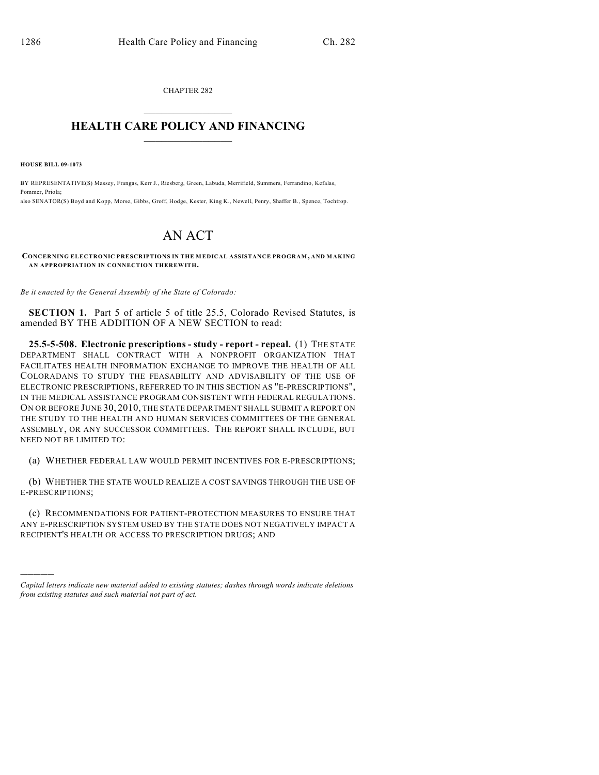CHAPTER 282  $\overline{\phantom{a}}$  . The set of the set of the set of the set of the set of the set of the set of the set of the set of the set of the set of the set of the set of the set of the set of the set of the set of the set of the set o

## **HEALTH CARE POLICY AND FINANCING**  $\_$   $\_$   $\_$   $\_$   $\_$   $\_$   $\_$   $\_$

**HOUSE BILL 09-1073**

)))))

BY REPRESENTATIVE(S) Massey, Frangas, Kerr J., Riesberg, Green, Labuda, Merrifield, Summers, Ferrandino, Kefalas, Pommer, Priola; also SENATOR(S) Boyd and Kopp, Morse, Gibbs, Groff, Hodge, Kester, King K., Newell, Penry, Shaffer B., Spence, Tochtrop.

## AN ACT

**CONCERNING ELECTRONIC PRESCRIPTIONS IN THE MEDICAL ASSISTANCE PROGRAM, AND MAKING AN APPROPRIATION IN CONNECTION THEREWITH.**

*Be it enacted by the General Assembly of the State of Colorado:*

**SECTION 1.** Part 5 of article 5 of title 25.5, Colorado Revised Statutes, is amended BY THE ADDITION OF A NEW SECTION to read:

**25.5-5-508. Electronic prescriptions - study - report - repeal.** (1) THE STATE DEPARTMENT SHALL CONTRACT WITH A NONPROFIT ORGANIZATION THAT FACILITATES HEALTH INFORMATION EXCHANGE TO IMPROVE THE HEALTH OF ALL COLORADANS TO STUDY THE FEASABILITY AND ADVISABILITY OF THE USE OF ELECTRONIC PRESCRIPTIONS, REFERRED TO IN THIS SECTION AS "E-PRESCRIPTIONS", IN THE MEDICAL ASSISTANCE PROGRAM CONSISTENT WITH FEDERAL REGULATIONS. ON OR BEFORE JUNE 30, 2010, THE STATE DEPARTMENT SHALL SUBMIT A REPORT ON THE STUDY TO THE HEALTH AND HUMAN SERVICES COMMITTEES OF THE GENERAL ASSEMBLY, OR ANY SUCCESSOR COMMITTEES. THE REPORT SHALL INCLUDE, BUT NEED NOT BE LIMITED TO:

(a) WHETHER FEDERAL LAW WOULD PERMIT INCENTIVES FOR E-PRESCRIPTIONS;

(b) WHETHER THE STATE WOULD REALIZE A COST SAVINGS THROUGH THE USE OF E-PRESCRIPTIONS;

(c) RECOMMENDATIONS FOR PATIENT-PROTECTION MEASURES TO ENSURE THAT ANY E-PRESCRIPTION SYSTEM USED BY THE STATE DOES NOT NEGATIVELY IMPACT A RECIPIENT'S HEALTH OR ACCESS TO PRESCRIPTION DRUGS; AND

*Capital letters indicate new material added to existing statutes; dashes through words indicate deletions from existing statutes and such material not part of act.*